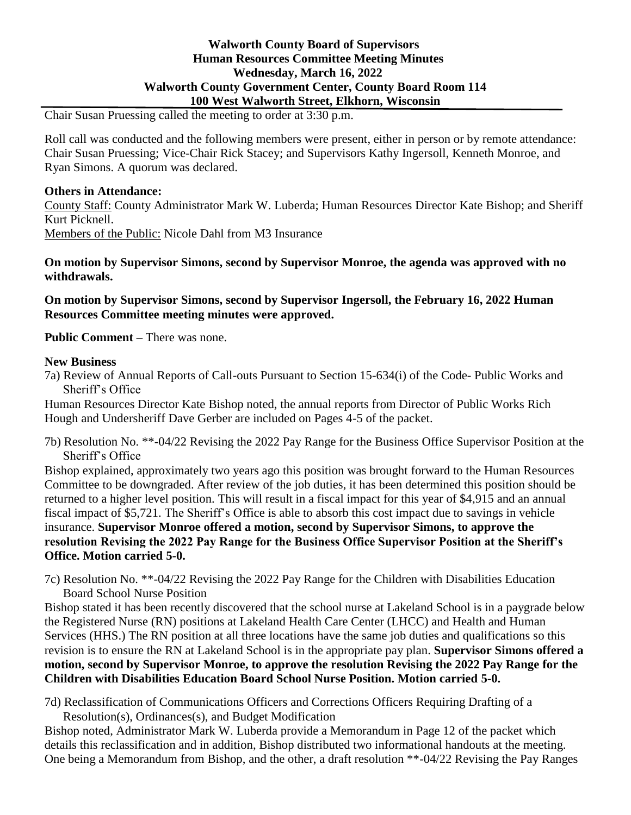## **Walworth County Board of Supervisors Human Resources Committee Meeting Minutes Wednesday, March 16, 2022 Walworth County Government Center, County Board Room 114 100 West Walworth Street, Elkhorn, Wisconsin**

Chair Susan Pruessing called the meeting to order at 3:30 p.m.

Roll call was conducted and the following members were present, either in person or by remote attendance: Chair Susan Pruessing; Vice-Chair Rick Stacey; and Supervisors Kathy Ingersoll, Kenneth Monroe, and Ryan Simons. A quorum was declared.

#### **Others in Attendance:**

County Staff: County Administrator Mark W. Luberda; Human Resources Director Kate Bishop; and Sheriff Kurt Picknell.

Members of the Public: Nicole Dahl from M3 Insurance

#### **On motion by Supervisor Simons, second by Supervisor Monroe, the agenda was approved with no withdrawals.**

**On motion by Supervisor Simons, second by Supervisor Ingersoll, the February 16, 2022 Human Resources Committee meeting minutes were approved.**

**Public Comment –** There was none.

#### **New Business**

7a) Review of Annual Reports of Call-outs Pursuant to Section 15-634(i) of the Code- Public Works and Sheriff's Office

Human Resources Director Kate Bishop noted, the annual reports from Director of Public Works Rich Hough and Undersheriff Dave Gerber are included on Pages 4-5 of the packet.

7b) Resolution No. \*\*-04/22 Revising the 2022 Pay Range for the Business Office Supervisor Position at the Sheriff's Office

Bishop explained, approximately two years ago this position was brought forward to the Human Resources Committee to be downgraded. After review of the job duties, it has been determined this position should be returned to a higher level position. This will result in a fiscal impact for this year of \$4,915 and an annual fiscal impact of \$5,721. The Sheriff's Office is able to absorb this cost impact due to savings in vehicle insurance. **Supervisor Monroe offered a motion, second by Supervisor Simons, to approve the resolution Revising the 2022 Pay Range for the Business Office Supervisor Position at the Sheriff's Office. Motion carried 5-0.**

7c) Resolution No. \*\*-04/22 Revising the 2022 Pay Range for the Children with Disabilities Education Board School Nurse Position

Bishop stated it has been recently discovered that the school nurse at Lakeland School is in a paygrade below the Registered Nurse (RN) positions at Lakeland Health Care Center (LHCC) and Health and Human Services (HHS.) The RN position at all three locations have the same job duties and qualifications so this revision is to ensure the RN at Lakeland School is in the appropriate pay plan. **Supervisor Simons offered a motion, second by Supervisor Monroe, to approve the resolution Revising the 2022 Pay Range for the Children with Disabilities Education Board School Nurse Position. Motion carried 5-0.**

7d) Reclassification of Communications Officers and Corrections Officers Requiring Drafting of a Resolution(s), Ordinances(s), and Budget Modification

Bishop noted, Administrator Mark W. Luberda provide a Memorandum in Page 12 of the packet which details this reclassification and in addition, Bishop distributed two informational handouts at the meeting. One being a Memorandum from Bishop, and the other, a draft resolution \*\*-04/22 Revising the Pay Ranges